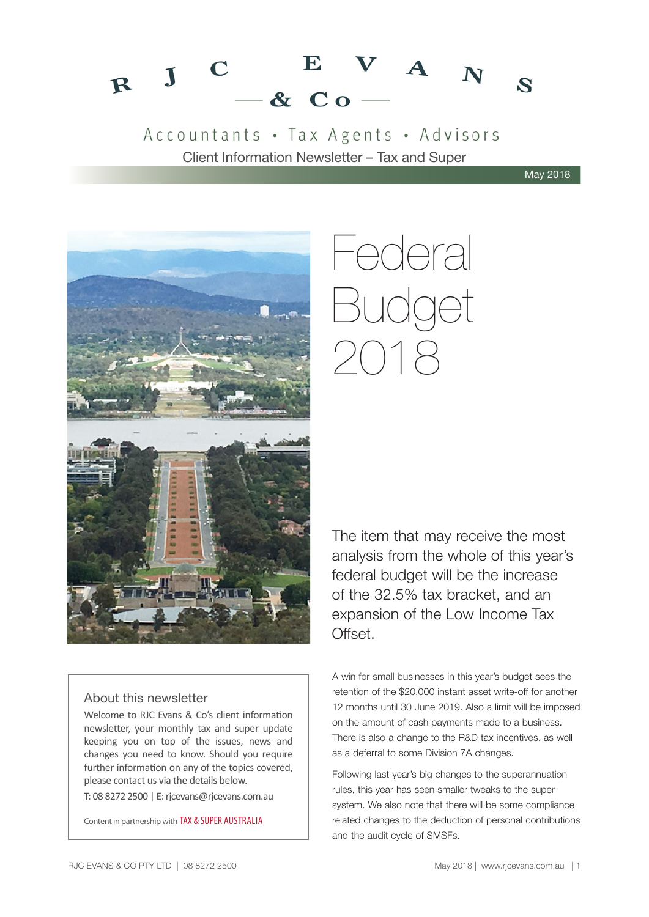#### $V A_N$  $\mathbf{E}$  $\mathbf C$  $R$  J  $\mathbf{z}$  $-$  & Co  $-$

### Accountants · Tax Agents · Advisors Client Information Newsletter – Tax and Super

May 2018



# Federal Budget 2018

The item that may receive the most analysis from the whole of this year's federal budget will be the increase of the 32.5% tax bracket, and an expansion of the Low Income Tax Offset.

#### About this newsletter

Welcome to RJC Evans & Co's client information newsletter, your monthly tax and super update keeping you on top of the issues, news and changes you need to know. Should you require further information on any of the topics covered, please contact us via the details below.

T: 08 8272 2500 | E: rjcevans@rjcevans.com.au

Content in partnership with TAX & SUPER AUSTRALIA

A win for small businesses in this year's budget sees the retention of the \$20,000 instant asset write-off for another 12 months until 30 June 2019. Also a limit will be imposed on the amount of cash payments made to a business. There is also a change to the R&D tax incentives, as well as a deferral to some Division 7A changes.

Following last year's big changes to the superannuation rules, this year has seen smaller tweaks to the super system. We also note that there will be some compliance related changes to the deduction of personal contributions and the audit cycle of SMSFs.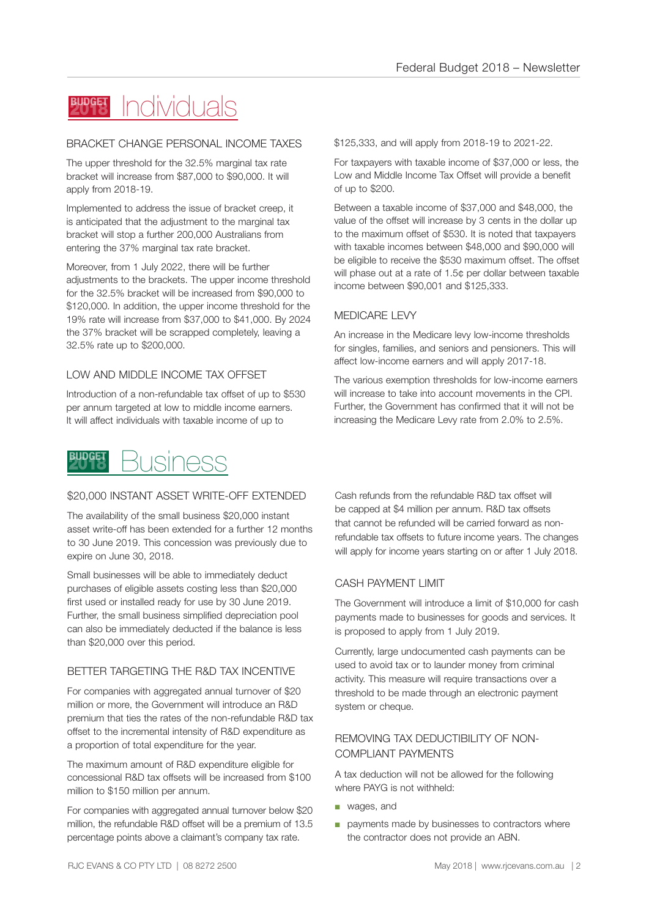#### Individuals **BUDGET**

#### BRACKET CHANGE PERSONAL INCOME TAXES

The upper threshold for the 32.5% marginal tax rate bracket will increase from \$87,000 to \$90,000. It will apply from 2018-19.

Implemented to address the issue of bracket creep, it is anticipated that the adjustment to the marginal tax bracket will stop a further 200,000 Australians from entering the 37% marginal tax rate bracket.

Moreover, from 1 July 2022, there will be further adjustments to the brackets. The upper income threshold for the 32.5% bracket will be increased from \$90,000 to \$120,000. In addition, the upper income threshold for the 19% rate will increase from \$37,000 to \$41,000. By 2024 the 37% bracket will be scrapped completely, leaving a 32.5% rate up to \$200,000.

#### LOW AND MIDDLE INCOME TAX OFFSET

Introduction of a non-refundable tax offset of up to \$530 per annum targeted at low to middle income earners. It will affect individuals with taxable income of up to



#### \$20,000 INSTANT ASSET WRITE-OFF EXTENDED

The availability of the small business \$20,000 instant asset write-off has been extended for a further 12 months to 30 June 2019. This concession was previously due to expire on June 30, 2018.

Small businesses will be able to immediately deduct purchases of eligible assets costing less than \$20,000 first used or installed ready for use by 30 June 2019. Further, the small business simplified depreciation pool can also be immediately deducted if the balance is less than \$20,000 over this period.

#### BETTER TARGETING THE R&D TAX INCENTIVE

For companies with aggregated annual turnover of \$20 million or more, the Government will introduce an R&D premium that ties the rates of the non-refundable R&D tax offset to the incremental intensity of R&D expenditure as a proportion of total expenditure for the year.

The maximum amount of R&D expenditure eligible for concessional R&D tax offsets will be increased from \$100 million to \$150 million per annum.

For companies with aggregated annual turnover below \$20 million, the refundable R&D offset will be a premium of 13.5 percentage points above a claimant's company tax rate.

\$125,333, and will apply from 2018-19 to 2021-22.

For taxpayers with taxable income of \$37,000 or less, the Low and Middle Income Tax Offset will provide a benefit of up to \$200.

Between a taxable income of \$37,000 and \$48,000, the value of the offset will increase by 3 cents in the dollar up to the maximum offset of \$530. It is noted that taxpayers with taxable incomes between \$48,000 and \$90,000 will be eligible to receive the \$530 maximum offset. The offset will phase out at a rate of 1.5¢ per dollar between taxable income between \$90,001 and \$125,333.

#### MEDICARE LEVY

An increase in the Medicare levy low-income thresholds for singles, families, and seniors and pensioners. This will affect low-income earners and will apply 2017-18.

The various exemption thresholds for low-income earners will increase to take into account movements in the CPI. Further, the Government has confirmed that it will not be increasing the Medicare Levy rate from 2.0% to 2.5%.

Cash refunds from the refundable R&D tax offset will be capped at \$4 million per annum. R&D tax offsets that cannot be refunded will be carried forward as nonrefundable tax offsets to future income years. The changes will apply for income years starting on or after 1 July 2018.

#### CASH PAYMENT LIMIT

The Government will introduce a limit of \$10,000 for cash payments made to businesses for goods and services. It is proposed to apply from 1 July 2019.

Currently, large undocumented cash payments can be used to avoid tax or to launder money from criminal activity. This measure will require transactions over a threshold to be made through an electronic payment system or cheque.

#### REMOVING TAX DEDUCTIBILITY OF NON-COMPLIANT PAYMENTS

A tax deduction will not be allowed for the following where PAYG is not withheld:

- wages, and
- payments made by businesses to contractors where the contractor does not provide an ABN.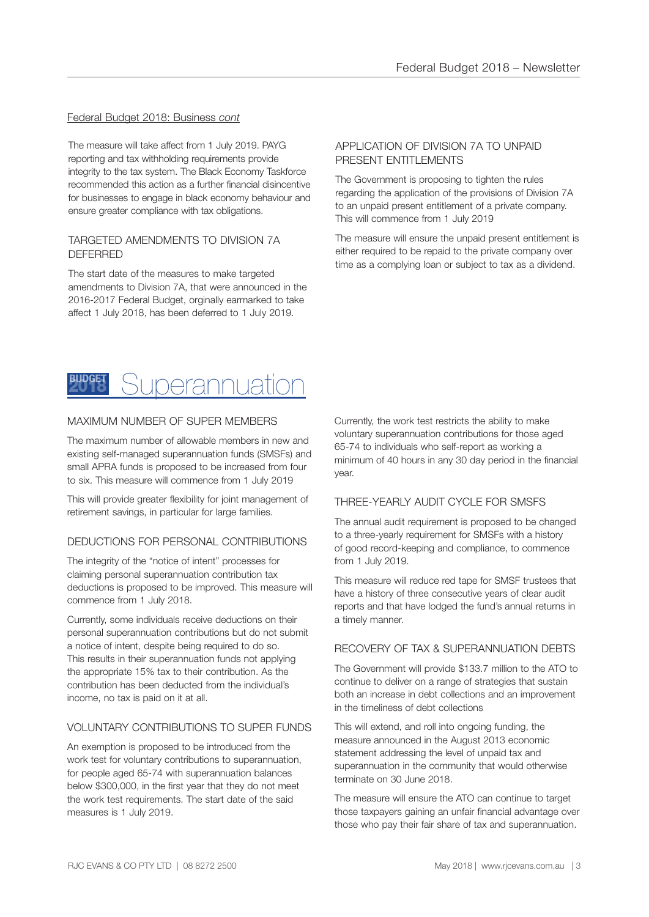#### Federal Budget 2018: Business *cont*

The measure will take affect from 1 July 2019. PAYG reporting and tax withholding requirements provide integrity to the tax system. The Black Economy Taskforce recommended this action as a further financial disincentive for businesses to engage in black economy behaviour and ensure greater compliance with tax obligations.

#### TARGETED AMENDMENTS TO DIVISION 7A DEFERRED

The start date of the measures to make targeted amendments to Division 7A, that were announced in the 2016-2017 Federal Budget, orginally earmarked to take affect 1 July 2018, has been deferred to 1 July 2019.

#### APPLICATION OF DIVISION 7A TO UNPAID PRESENT ENTITLEMENTS

The Government is proposing to tighten the rules regarding the application of the provisions of Division 7A to an unpaid present entitlement of a private company. This will commence from 1 July 2019

The measure will ensure the unpaid present entitlement is either required to be repaid to the private company over time as a complying loan or subject to tax as a dividend.



#### MAXIMUM NUMBER OF SUPER MEMBERS

The maximum number of allowable members in new and existing self-managed superannuation funds (SMSFs) and small APRA funds is proposed to be increased from four to six. This measure will commence from 1 July 2019

This will provide greater flexibility for joint management of retirement savings, in particular for large families.

#### DEDUCTIONS FOR PERSONAL CONTRIBUTIONS

The integrity of the "notice of intent" processes for claiming personal superannuation contribution tax deductions is proposed to be improved. This measure will commence from 1 July 2018.

Currently, some individuals receive deductions on their personal superannuation contributions but do not submit a notice of intent, despite being required to do so. This results in their superannuation funds not applying the appropriate 15% tax to their contribution. As the contribution has been deducted from the individual's income, no tax is paid on it at all.

#### VOLUNTARY CONTRIBUTIONS TO SUPER FUNDS

An exemption is proposed to be introduced from the work test for voluntary contributions to superannuation, for people aged 65-74 with superannuation balances below \$300,000, in the first year that they do not meet the work test requirements. The start date of the said measures is 1 July 2019.

Currently, the work test restricts the ability to make voluntary superannuation contributions for those aged 65-74 to individuals who self-report as working a minimum of 40 hours in any 30 day period in the financial year.

#### THREE-YEARLY AUDIT CYCLE FOR SMSFS

The annual audit requirement is proposed to be changed to a three-yearly requirement for SMSFs with a history of good record-keeping and compliance, to commence from 1 July 2019.

This measure will reduce red tape for SMSF trustees that have a history of three consecutive years of clear audit reports and that have lodged the fund's annual returns in a timely manner.

#### RECOVERY OF TAX & SUPERANNUATION DEBTS

The Government will provide \$133.7 million to the ATO to continue to deliver on a range of strategies that sustain both an increase in debt collections and an improvement in the timeliness of debt collections

This will extend, and roll into ongoing funding, the measure announced in the August 2013 economic statement addressing the level of unpaid tax and superannuation in the community that would otherwise terminate on 30 June 2018.

The measure will ensure the ATO can continue to target those taxpayers gaining an unfair financial advantage over those who pay their fair share of tax and superannuation.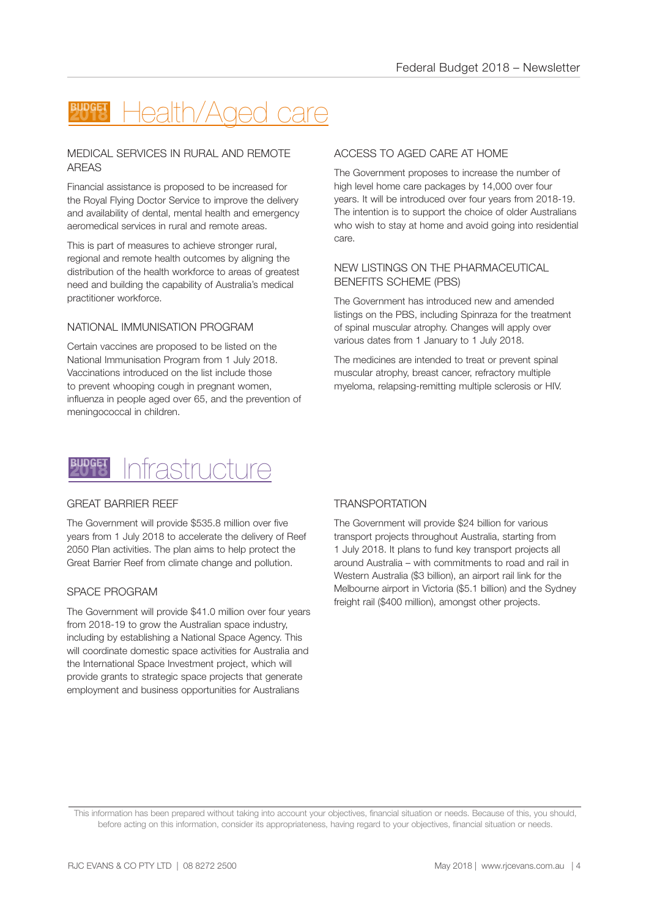## Health/Aged care

#### MEDICAL SERVICES IN RURAL AND REMOTE AREAS

Financial assistance is proposed to be increased for the Royal Flying Doctor Service to improve the delivery and availability of dental, mental health and emergency aeromedical services in rural and remote areas.

This is part of measures to achieve stronger rural, regional and remote health outcomes by aligning the distribution of the health workforce to areas of greatest need and building the capability of Australia's medical practitioner workforce.

#### NATIONAL IMMUNISATION PROGRAM

Certain vaccines are proposed to be listed on the National Immunisation Program from 1 July 2018. Vaccinations introduced on the list include those to prevent whooping cough in pregnant women, influenza in people aged over 65, and the prevention of meningococcal in children.

#### ACCESS TO AGED CARE AT HOME

The Government proposes to increase the number of high level home care packages by 14,000 over four years. It will be introduced over four years from 2018-19. The intention is to support the choice of older Australians who wish to stay at home and avoid going into residential care.

#### NEW LISTINGS ON THE PHARMACEUTICAL BENEFITS SCHEME (PBS)

The Government has introduced new and amended listings on the PBS, including Spinraza for the treatment of spinal muscular atrophy. Changes will apply over various dates from 1 January to 1 July 2018.

The medicines are intended to treat or prevent spinal muscular atrophy, breast cancer, refractory multiple myeloma, relapsing-remitting multiple sclerosis or HIV.



#### GREAT BARRIER REEF

The Government will provide \$535.8 million over five years from 1 July 2018 to accelerate the delivery of Reef 2050 Plan activities. The plan aims to help protect the Great Barrier Reef from climate change and pollution.

#### SPACE PROGRAM

The Government will provide \$41.0 million over four years from 2018-19 to grow the Australian space industry, including by establishing a National Space Agency. This will coordinate domestic space activities for Australia and the International Space Investment project, which will provide grants to strategic space projects that generate employment and business opportunities for Australians

#### **TRANSPORTATION**

The Government will provide \$24 billion for various transport projects throughout Australia, starting from 1 July 2018. It plans to fund key transport projects all around Australia – with commitments to road and rail in Western Australia (\$3 billion), an airport rail link for the Melbourne airport in Victoria (\$5.1 billion) and the Sydney freight rail (\$400 million), amongst other projects.

This information has been prepared without taking into account your objectives, financial situation or needs. Because of this, you should, before acting on this information, consider its appropriateness, having regard to your objectives, financial situation or needs.